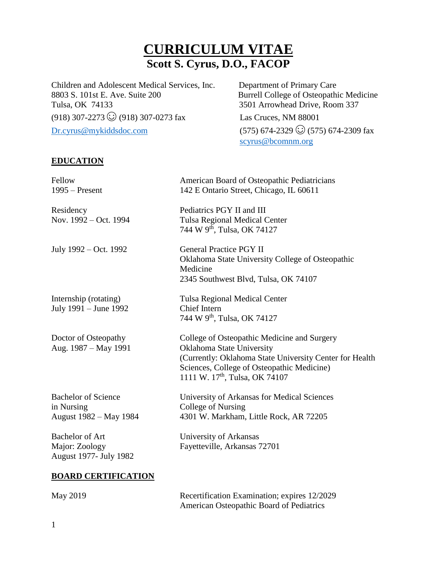# **CURRICULUM VITAE Scott S. Cyrus, D.O., FACOP**

Children and Adolescent Medical Services, Inc. Department of Primary Care 8803 S. 101st E. Ave. Suite 200 Burrell College of Osteopathic Medicine Tulsa, OK 74133 3501 Arrowhead Drive, Room 337  $(918)$  307-2273  $\odot$  (918) 307-0273 fax Las Cruces, NM 88001 Dr.cyrus@mykiddsdoc.com (575) 674-2329 ☺ (575) 674-2309 fax

scyrus@bcomnm.org

## **EDUCATION**

| Fellow<br>$1995 -$ Present                                         | American Board of Osteopathic Pediatricians<br>142 E Ontario Street, Chicago, IL 60611                                                                                                                                          |
|--------------------------------------------------------------------|---------------------------------------------------------------------------------------------------------------------------------------------------------------------------------------------------------------------------------|
| Residency<br>Nov. 1992 – Oct. 1994                                 | Pediatrics PGY II and III<br><b>Tulsa Regional Medical Center</b><br>744 W 9 <sup>th</sup> , Tulsa, OK 74127                                                                                                                    |
| July 1992 – Oct. 1992                                              | <b>General Practice PGY II</b><br>Oklahoma State University College of Osteopathic<br>Medicine<br>2345 Southwest Blvd, Tulsa, OK 74107                                                                                          |
| Internship (rotating)<br>July 1991 - June 1992                     | <b>Tulsa Regional Medical Center</b><br><b>Chief Intern</b><br>744 W 9 <sup>th</sup> , Tulsa, OK 74127                                                                                                                          |
| Doctor of Osteopathy<br>Aug. 1987 - May 1991                       | College of Osteopathic Medicine and Surgery<br>Oklahoma State University<br>(Currently: Oklahoma State University Center for Health<br>Sciences, College of Osteopathic Medicine)<br>1111 W. 17 <sup>th</sup> , Tulsa, OK 74107 |
| <b>Bachelor of Science</b><br>in Nursing<br>August 1982 – May 1984 | University of Arkansas for Medical Sciences<br>College of Nursing<br>4301 W. Markham, Little Rock, AR 72205                                                                                                                     |
| <b>Bachelor of Art</b><br>Major: Zoology<br>August 1977- July 1982 | University of Arkansas<br>Fayetteville, Arkansas 72701                                                                                                                                                                          |
| <b>BOARD CERTIFICATION</b>                                         |                                                                                                                                                                                                                                 |

| May 2019 | Recertification Examination; expires 12/2029 |
|----------|----------------------------------------------|
|          | American Osteopathic Board of Pediatrics     |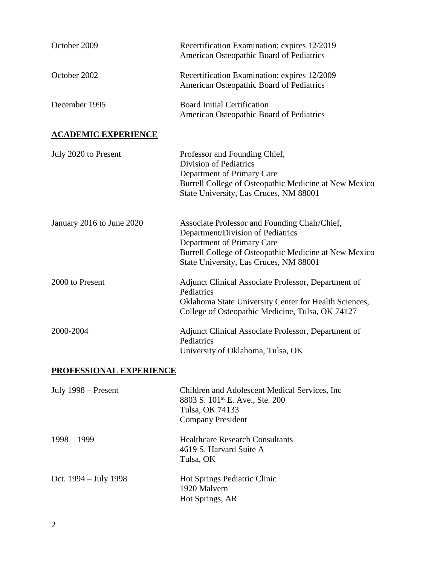| October 2009               | Recertification Examination; expires 12/2019<br>American Osteopathic Board of Pediatrics                                                                                                                            |
|----------------------------|---------------------------------------------------------------------------------------------------------------------------------------------------------------------------------------------------------------------|
| October 2002               | Recertification Examination; expires 12/2009<br>American Osteopathic Board of Pediatrics                                                                                                                            |
| December 1995              | <b>Board Initial Certification</b><br>American Osteopathic Board of Pediatrics                                                                                                                                      |
| <b>ACADEMIC EXPERIENCE</b> |                                                                                                                                                                                                                     |
| July 2020 to Present       | Professor and Founding Chief,<br><b>Division of Pediatrics</b><br>Department of Primary Care<br>Burrell College of Osteopathic Medicine at New Mexico<br>State University, Las Cruces, NM 88001                     |
| January 2016 to June 2020  | Associate Professor and Founding Chair/Chief,<br>Department/Division of Pediatrics<br>Department of Primary Care<br>Burrell College of Osteopathic Medicine at New Mexico<br>State University, Las Cruces, NM 88001 |
| 2000 to Present            | Adjunct Clinical Associate Professor, Department of<br>Pediatrics<br>Oklahoma State University Center for Health Sciences,<br>College of Osteopathic Medicine, Tulsa, OK 74127                                      |
| 2000-2004                  | Adjunct Clinical Associate Professor, Department of<br>Pediatrics<br>University of Oklahoma, Tulsa, OK                                                                                                              |
| PROFESSIONAL EXPERIENCE    |                                                                                                                                                                                                                     |
| July $1998 -$ Present      | Children and Adolescent Medical Services, Inc.<br>8803 S. 101 <sup>st</sup> E. Ave., Ste. 200<br>Tulsa, OK 74133<br><b>Company President</b>                                                                        |
| $1998 - 1999$              | <b>Healthcare Research Consultants</b><br>4619 S. Harvard Suite A<br>Tulsa, OK                                                                                                                                      |
| Oct. $1994 - July 1998$    | Hot Springs Pediatric Clinic<br>1920 Malvern<br>Hot Springs, AR                                                                                                                                                     |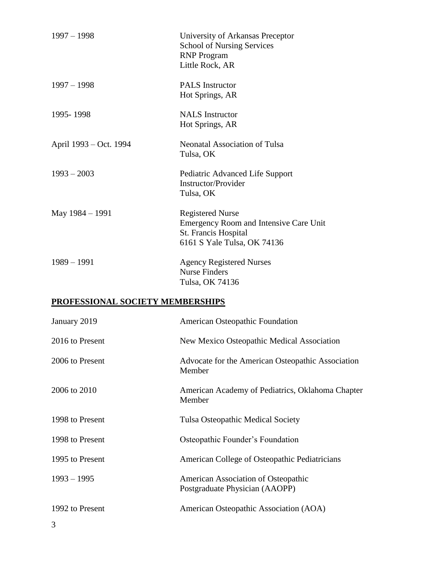| $1997 - 1998$          | University of Arkansas Preceptor<br><b>School of Nursing Services</b><br><b>RNP</b> Program<br>Little Rock, AR           |
|------------------------|--------------------------------------------------------------------------------------------------------------------------|
| $1997 - 1998$          | <b>PALS</b> Instructor<br>Hot Springs, AR                                                                                |
| 1995-1998              | <b>NALS</b> Instructor<br>Hot Springs, AR                                                                                |
| April 1993 – Oct. 1994 | <b>Neonatal Association of Tulsa</b><br>Tulsa, OK                                                                        |
| $1993 - 2003$          | Pediatric Advanced Life Support<br><b>Instructor/Provider</b><br>Tulsa, OK                                               |
| May 1984 - 1991        | <b>Registered Nurse</b><br>Emergency Room and Intensive Care Unit<br>St. Francis Hospital<br>6161 S Yale Tulsa, OK 74136 |
| $1989 - 1991$          | <b>Agency Registered Nurses</b><br><b>Nurse Finders</b><br>Tulsa, OK 74136                                               |

# **PROFESSIONAL SOCIETY MEMBERSHIPS**

| January 2019    | American Osteopathic Foundation                                       |
|-----------------|-----------------------------------------------------------------------|
| 2016 to Present | New Mexico Osteopathic Medical Association                            |
| 2006 to Present | Advocate for the American Osteopathic Association<br>Member           |
| 2006 to 2010    | American Academy of Pediatrics, Oklahoma Chapter<br>Member            |
| 1998 to Present | <b>Tulsa Osteopathic Medical Society</b>                              |
| 1998 to Present | Osteopathic Founder's Foundation                                      |
| 1995 to Present | American College of Osteopathic Pediatricians                         |
| $1993 - 1995$   | American Association of Osteopathic<br>Postgraduate Physician (AAOPP) |
| 1992 to Present | American Osteopathic Association (AOA)                                |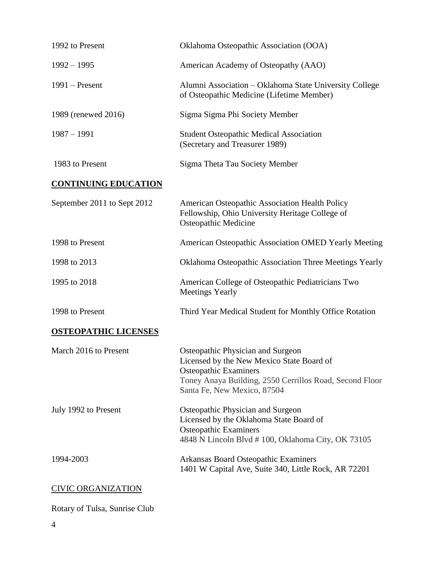| 1992 to Present             | Oklahoma Osteopathic Association (OOA)                                                                                                                                                                   |
|-----------------------------|----------------------------------------------------------------------------------------------------------------------------------------------------------------------------------------------------------|
| $1992 - 1995$               | American Academy of Osteopathy (AAO)                                                                                                                                                                     |
| $1991$ – Present            | Alumni Association – Oklahoma State University College<br>of Osteopathic Medicine (Lifetime Member)                                                                                                      |
| 1989 (renewed 2016)         | Sigma Sigma Phi Society Member                                                                                                                                                                           |
| $1987 - 1991$               | <b>Student Osteopathic Medical Association</b><br>(Secretary and Treasurer 1989)                                                                                                                         |
| 1983 to Present             | Sigma Theta Tau Society Member                                                                                                                                                                           |
| <b>CONTINUING EDUCATION</b> |                                                                                                                                                                                                          |
| September 2011 to Sept 2012 | American Osteopathic Association Health Policy<br>Fellowship, Ohio University Heritage College of<br><b>Osteopathic Medicine</b>                                                                         |
| 1998 to Present             | American Osteopathic Association OMED Yearly Meeting                                                                                                                                                     |
| 1998 to 2013                | Oklahoma Osteopathic Association Three Meetings Yearly                                                                                                                                                   |
| 1995 to 2018                | American College of Osteopathic Pediatricians Two<br><b>Meetings Yearly</b>                                                                                                                              |
| 1998 to Present             | Third Year Medical Student for Monthly Office Rotation                                                                                                                                                   |
| <b>OSTEOPATHIC LICENSES</b> |                                                                                                                                                                                                          |
| March 2016 to Present       | Osteopathic Physician and Surgeon<br>Licensed by the New Mexico State Board of<br><b>Osteopathic Examiners</b><br>Toney Anaya Building, 2550 Cerrillos Road, Second Floor<br>Santa Fe, New Mexico, 87504 |
| July 1992 to Present        | Osteopathic Physician and Surgeon<br>Licensed by the Oklahoma State Board of<br><b>Osteopathic Examiners</b><br>4848 N Lincoln Blvd #100, Oklahoma City, OK 73105                                        |
| 1994-2003                   | Arkansas Board Osteopathic Examiners<br>1401 W Capital Ave, Suite 340, Little Rock, AR 72201                                                                                                             |
| <b>CIVIC ORGANIZATION</b>   |                                                                                                                                                                                                          |
|                             |                                                                                                                                                                                                          |

Rotary of Tulsa, Sunrise Club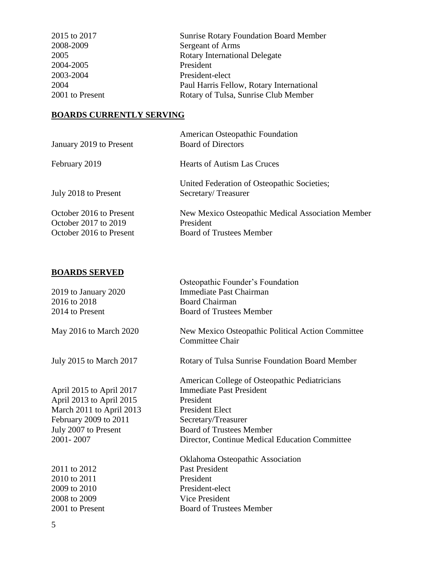| 2015 to 2017    | <b>Sunrise Rotary Foundation Board Member</b> |
|-----------------|-----------------------------------------------|
| 2008-2009       | Sergeant of Arms                              |
| 2005            | <b>Rotary International Delegate</b>          |
| 2004-2005       | President                                     |
| 2003-2004       | President-elect                               |
| 2004            | Paul Harris Fellow, Rotary International      |
| 2001 to Present | Rotary of Tulsa, Sunrise Club Member          |

### **BOARDS CURRENTLY SERVING**

| January 2019 to Present                                                    | <b>American Osteopathic Foundation</b><br><b>Board of Directors</b>                               |
|----------------------------------------------------------------------------|---------------------------------------------------------------------------------------------------|
| February 2019                                                              | <b>Hearts of Autism Las Cruces</b>                                                                |
| July 2018 to Present                                                       | United Federation of Osteopathic Societies;<br>Secretary/Treasurer                                |
| October 2016 to Present<br>October 2017 to 2019<br>October 2016 to Present | New Mexico Osteopathic Medical Association Member<br>President<br><b>Board of Trustees Member</b> |

## **BOARDS SERVED**

|                          | Osteopathic Founder's Foundation                                            |
|--------------------------|-----------------------------------------------------------------------------|
| 2019 to January 2020     | Immediate Past Chairman                                                     |
| 2016 to 2018             | <b>Board Chairman</b>                                                       |
| 2014 to Present          | <b>Board of Trustees Member</b>                                             |
| May 2016 to March 2020   | New Mexico Osteopathic Political Action Committee<br><b>Committee Chair</b> |
| July 2015 to March 2017  | Rotary of Tulsa Sunrise Foundation Board Member                             |
|                          | American College of Osteopathic Pediatricians                               |
| April 2015 to April 2017 | <b>Immediate Past President</b>                                             |
| April 2013 to April 2015 | President                                                                   |
| March 2011 to April 2013 | <b>President Elect</b>                                                      |
| February 2009 to 2011    | Secretary/Treasurer                                                         |
| July 2007 to Present     | <b>Board of Trustees Member</b>                                             |
| 2001-2007                | Director, Continue Medical Education Committee                              |
|                          | <b>Oklahoma Osteopathic Association</b>                                     |
| 2011 to 2012             | <b>Past President</b>                                                       |
| 2010 to 2011             | President                                                                   |
| 2009 to 2010             | President-elect                                                             |
| 2008 to 2009             | <b>Vice President</b>                                                       |
| 2001 to Present          | <b>Board of Trustees Member</b>                                             |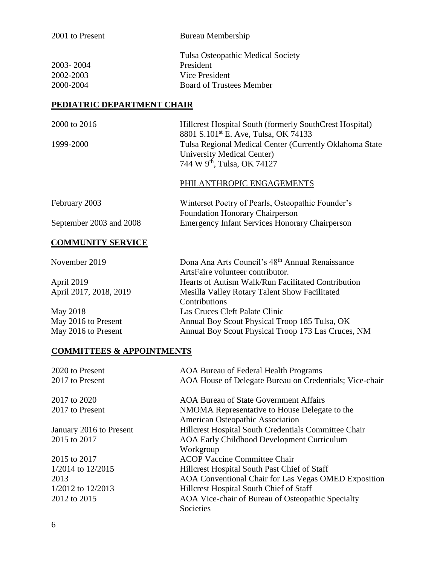| 2001 to Present                                        | Bureau Membership                                                                                                                                                                                                                                      |  |
|--------------------------------------------------------|--------------------------------------------------------------------------------------------------------------------------------------------------------------------------------------------------------------------------------------------------------|--|
| 2003-2004<br>2002-2003<br>2000-2004                    | Tulsa Osteopathic Medical Society<br>President<br>Vice President<br><b>Board of Trustees Member</b>                                                                                                                                                    |  |
| <b>PEDIATRIC DEPARTMENT CHAIR</b>                      |                                                                                                                                                                                                                                                        |  |
| 2000 to 2016<br>1999-2000                              | Hillcrest Hospital South (formerly SouthCrest Hospital)<br>8801 S.101 <sup>st</sup> E. Ave, Tulsa, OK 74133<br>Tulsa Regional Medical Center (Currently Oklahoma State<br><b>University Medical Center)</b><br>744 W 9 <sup>th</sup> , Tulsa, OK 74127 |  |
|                                                        | PHILANTHROPIC ENGAGEMENTS                                                                                                                                                                                                                              |  |
| February 2003<br>September 2003 and 2008               | Winterset Poetry of Pearls, Osteopathic Founder's<br><b>Foundation Honorary Chairperson</b><br><b>Emergency Infant Services Honorary Chairperson</b>                                                                                                   |  |
| <b>COMMUNITY SERVICE</b>                               |                                                                                                                                                                                                                                                        |  |
| November 2019<br>April 2019<br>April 2017, 2018, 2019  | Dona Ana Arts Council's 48 <sup>th</sup> Annual Renaissance<br>ArtsFaire volunteer contributor.<br>Hearts of Autism Walk/Run Facilitated Contribution<br>Mesilla Valley Rotary Talent Show Facilitated                                                 |  |
| May 2018<br>May 2016 to Present<br>May 2016 to Present | Contributions<br>Las Cruces Cleft Palate Clinic<br>Annual Boy Scout Physical Troop 185 Tulsa, OK<br>Annual Boy Scout Physical Troop 173 Las Cruces, NM                                                                                                 |  |
| <b>COMMITTEES &amp; APPOINTMENTS</b>                   |                                                                                                                                                                                                                                                        |  |
| 2020 to Present<br>2017 to Present                     | <b>AOA Bureau of Federal Health Programs</b><br>AOA House of Delegate Bureau on Credentials; Vice-chair                                                                                                                                                |  |
| 2017 to 2020                                           | <b>AOA Bureau of State Government Affairs</b>                                                                                                                                                                                                          |  |

2017 to Present NMOMA Representative to House Delegate to the

Workgroup

Societies

American Osteopathic Association

January 2016 to Present Hillcrest Hospital South Credentials Committee Chair 2015 to 2017 AOA Early Childhood Development Curriculum

2015 to 2017 ACOP Vaccine Committee Chair 1/2014 to 12/2015 Hillcrest Hospital South Past Chief of Staff 2013 AOA Conventional Chair for Las Vegas OMED Exposition 1/2012 to 12/2013 Hillcrest Hospital South Chief of Staff 2012 to 2015 AOA Vice-chair of Bureau of Osteopathic Specialty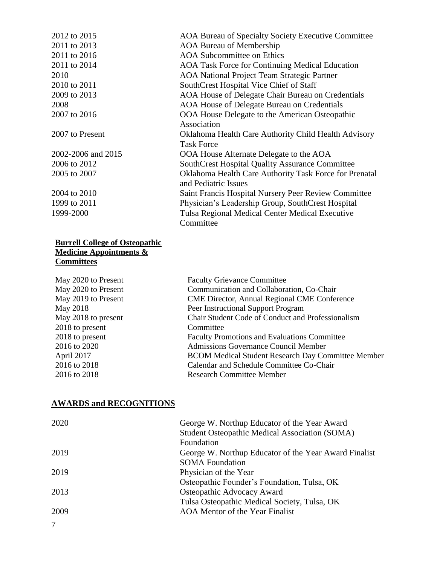2012 to 2015 AOA Bureau of Specialty Society Executive Committee 2011 to 2013 AOA Bureau of Membership 2011 to 2016 AOA Subcommittee on Ethics 2011 to 2014 AOA Task Force for Continuing Medical Education 2010 AOA National Project Team Strategic Partner 2010 to 2011 SouthCrest Hospital Vice Chief of Staff 2009 to 2013 AOA House of Delegate Chair Bureau on Credentials 2008 AOA House of Delegate Bureau on Credentials 2007 to 2016 **OOA House Delegate to the American Osteopathic** Association 2007 to Present Oklahoma Health Care Authority Child Health Advisory Task Force 2002-2006 and 2015 OOA House Alternate Delegate to the AOA 2006 to 2012 SouthCrest Hospital Quality Assurance Committee 2005 to 2007 Oklahoma Health Care Authority Task Force for Prenatal and Pediatric Issues 2004 to 2010 Saint Francis Hospital Nursery Peer Review Committee 1999 to 2011 Physician's Leadership Group, SouthCrest Hospital 1999-2000 Tulsa Regional Medical Center Medical Executive Committee

#### **Burrell College of Osteopathic Medicine Appointments & Committees**

| May 2020 to Present | <b>Faculty Grievance Committee</b>                        |
|---------------------|-----------------------------------------------------------|
| May 2020 to Present | Communication and Collaboration, Co-Chair                 |
| May 2019 to Present | <b>CME Director, Annual Regional CME Conference</b>       |
| May 2018            | Peer Instructional Support Program                        |
| May 2018 to present | Chair Student Code of Conduct and Professionalism         |
| 2018 to present     | Committee                                                 |
| 2018 to present     | <b>Faculty Promotions and Evaluations Committee</b>       |
| 2016 to 2020        | <b>Admissions Governance Council Member</b>               |
| April 2017          | <b>BCOM Medical Student Research Day Committee Member</b> |
| 2016 to 2018        | Calendar and Schedule Committee Co-Chair                  |
| 2016 to 2018        | <b>Research Committee Member</b>                          |

### **AWARDS and RECOGNITIONS**

| 2020 | George W. Northup Educator of the Year Award          |
|------|-------------------------------------------------------|
|      | Student Osteopathic Medical Association (SOMA)        |
|      | Foundation                                            |
| 2019 | George W. Northup Educator of the Year Award Finalist |
|      | <b>SOMA</b> Foundation                                |
| 2019 | Physician of the Year                                 |
|      | Osteopathic Founder's Foundation, Tulsa, OK           |
| 2013 | Osteopathic Advocacy Award                            |
|      | Tulsa Osteopathic Medical Society, Tulsa, OK          |
| 2009 | <b>AOA</b> Mentor of the Year Finalist                |
|      |                                                       |

7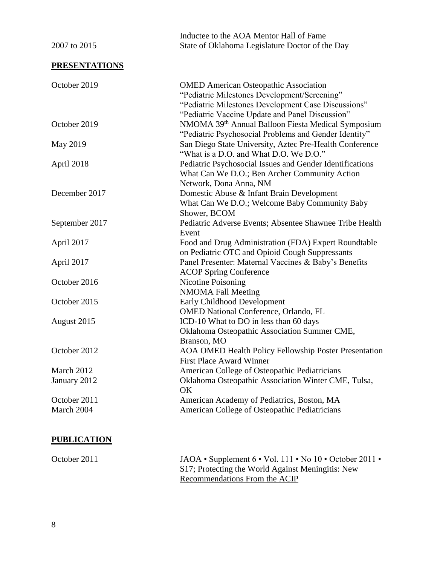| 2007 to 2015         | Inductee to the AOA Mentor Hall of Fame<br>State of Oklahoma Legislature Doctor of the Day                                                                                                             |  |  |
|----------------------|--------------------------------------------------------------------------------------------------------------------------------------------------------------------------------------------------------|--|--|
| <b>PRESENTATIONS</b> |                                                                                                                                                                                                        |  |  |
| October 2019         | <b>OMED</b> American Osteopathic Association<br>"Pediatric Milestones Development/Screening"<br>"Pediatric Milestones Development Case Discussions"<br>"Pediatric Vaccine Update and Panel Discussion" |  |  |
| October 2019         | NMOMA 39 <sup>th</sup> Annual Balloon Fiesta Medical Symposium<br>"Pediatric Psychosocial Problems and Gender Identity"                                                                                |  |  |
| May 2019             | San Diego State University, Aztec Pre-Health Conference<br>"What is a D.O. and What D.O. We D.O."                                                                                                      |  |  |
| April 2018           | Pediatric Psychosocial Issues and Gender Identifications<br>What Can We D.O.; Ben Archer Community Action<br>Network, Dona Anna, NM                                                                    |  |  |
| December 2017        | Domestic Abuse & Infant Brain Development<br>What Can We D.O.; Welcome Baby Community Baby<br>Shower, BCOM                                                                                             |  |  |
| September 2017       | Pediatric Adverse Events; Absentee Shawnee Tribe Health<br>Event                                                                                                                                       |  |  |
| April 2017           | Food and Drug Administration (FDA) Expert Roundtable<br>on Pediatric OTC and Opioid Cough Suppressants                                                                                                 |  |  |
| April 2017           | Panel Presenter: Maternal Vaccines & Baby's Benefits<br><b>ACOP Spring Conference</b>                                                                                                                  |  |  |
| October 2016         | Nicotine Poisoning<br><b>NMOMA Fall Meeting</b>                                                                                                                                                        |  |  |
| October 2015         | Early Childhood Development<br><b>OMED National Conference, Orlando, FL</b>                                                                                                                            |  |  |
| August 2015          | ICD-10 What to DO in less than 60 days<br>Oklahoma Osteopathic Association Summer CME,<br>Branson, MO                                                                                                  |  |  |
| October 2012         | <b>AOA OMED Health Policy Fellowship Poster Presentation</b><br><b>First Place Award Winner</b>                                                                                                        |  |  |
| March 2012           | American College of Osteopathic Pediatricians                                                                                                                                                          |  |  |
| January 2012         | Oklahoma Osteopathic Association Winter CME, Tulsa,<br>OK                                                                                                                                              |  |  |
| October 2011         | American Academy of Pediatrics, Boston, MA                                                                                                                                                             |  |  |
| March 2004           | American College of Osteopathic Pediatricians                                                                                                                                                          |  |  |

### **PUBLICATION**

October 2011 JAOA • Supplement 6 • Vol. 111 • No 10 • October 2011 • S17; Protecting the World Against Meningitis: New Recommendations From the ACIP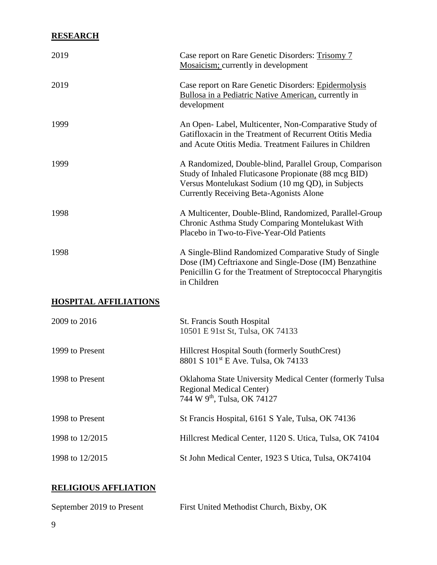## **RESEARCH**

| Case report on Rare Genetic Disorders: Trisomy 7<br>Mosaicism; currently in development                                                                                                                               |  |
|-----------------------------------------------------------------------------------------------------------------------------------------------------------------------------------------------------------------------|--|
| Case report on Rare Genetic Disorders: Epidermolysis<br>Bullosa in a Pediatric Native American, currently in<br>development                                                                                           |  |
| An Open-Label, Multicenter, Non-Comparative Study of<br>Gatifloxacin in the Treatment of Recurrent Otitis Media<br>and Acute Otitis Media. Treatment Failures in Children                                             |  |
| A Randomized, Double-blind, Parallel Group, Comparison<br>Study of Inhaled Fluticasone Propionate (88 mcg BID)<br>Versus Montelukast Sodium (10 mg QD), in Subjects<br><b>Currently Receiving Beta-Agonists Alone</b> |  |
| A Multicenter, Double-Blind, Randomized, Parallel-Group<br>Chronic Asthma Study Comparing Montelukast With<br>Placebo in Two-to-Five-Year-Old Patients                                                                |  |
| A Single-Blind Randomized Comparative Study of Single<br>Dose (IM) Ceftriaxone and Single-Dose (IM) Benzathine<br>Penicillin G for the Treatment of Streptococcal Pharyngitis<br>in Children                          |  |
|                                                                                                                                                                                                                       |  |
| St. Francis South Hospital<br>10501 E 91st St, Tulsa, OK 74133                                                                                                                                                        |  |
| Hillcrest Hospital South (formerly SouthCrest)<br>8801 S 101 <sup>st</sup> E Ave. Tulsa, Ok 74133                                                                                                                     |  |
| Oklahoma State University Medical Center (formerly Tulsa<br><b>Regional Medical Center)</b><br>744 W 9 <sup>th</sup> , Tulsa, OK 74127                                                                                |  |
| St Francis Hospital, 6161 S Yale, Tulsa, OK 74136                                                                                                                                                                     |  |
| Hillcrest Medical Center, 1120 S. Utica, Tulsa, OK 74104                                                                                                                                                              |  |
| St John Medical Center, 1923 S Utica, Tulsa, OK74104                                                                                                                                                                  |  |
|                                                                                                                                                                                                                       |  |

# **RELIGIOUS AFFLIATION**

| September 2019 to Present | First United Methodist Church, Bixby, OK |
|---------------------------|------------------------------------------|
|---------------------------|------------------------------------------|